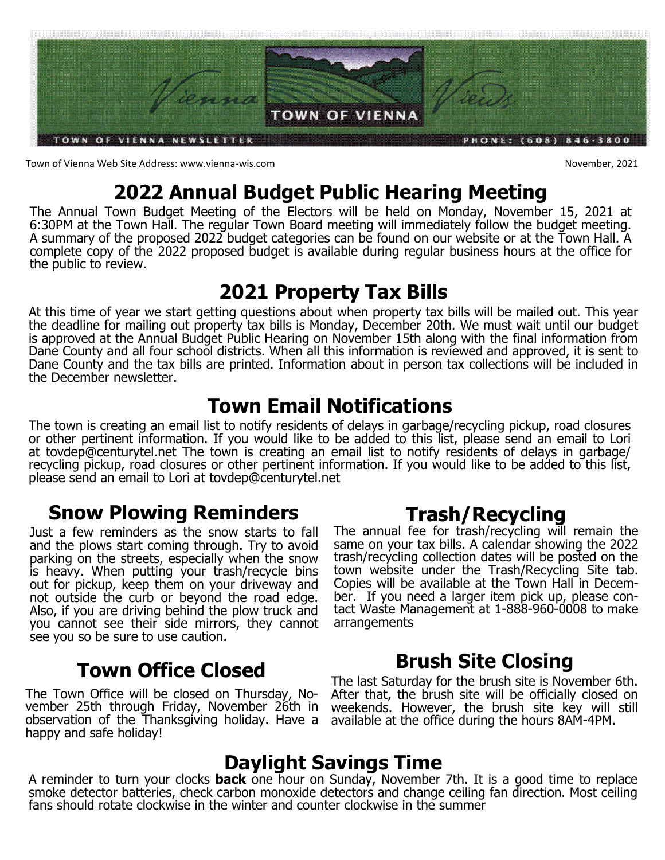

Town of Vienna Web Site Address: www.vienna-wis.com November, 2021

# **2022 Annual Budget Public Hearing Meeting**

The Annual Town Budget Meeting of the Electors will be held on Monday, November 15, 2021 at 6:30PM at the Town Hall. The regular Town Board meeting will immediately follow the budget meeting. A summary of the proposed 2022 budget categories can be found on our website or at the Town Hall. A complete copy of the 2022 proposed budget is available during regular business hours at the office for the public to review.

### **2021 Property Tax Bills**

At this time of year we start getting questions about when property tax bills will be mailed out. This year the deadline for mailing out property tax bills is Monday, December 20th. We must wait until our budget is approved at the Annual Budget Public Hearing on November 15th along with the final information from Dane County and all four school districts. When all this information is reviewed and approved, it is sent to Dane County and the tax bills are printed. Information about in person tax collections will be included in the December newsletter.

## **Town Email Notifications**

The town is creating an email list to notify residents of delays in garbage/recycling pickup, road closures or other pertinent information. If you would like to be added to this list, please send an email to Lori at tovdep@centurytel.net The town is creating an email list to notify residents of delays in garbage/ recycling pickup, road closures or other pertinent information. If you would like to be added to this list, please send an email to Lori at tovdep@centurytel.net

# **Snow Plowing Reminders**

Just a few reminders as the snow starts to fall and the plows start coming through. Try to avoid parking on the streets, especially when the snow is heavy. When putting your trash/recycle bins out for pickup, keep them on your driveway and not outside the curb or beyond the road edge. Also, if you are driving behind the plow truck and you cannot see their side mirrors, they cannot see you so be sure to use caution.

# **Town Office Closed**

The Town Office will be closed on Thursday, November 25th through Friday, November 26th in observation of the Thanksgiving holiday. Have a happy and safe holiday!

# **Trash/Recycling**

The annual fee for trash/recycling will remain the same on your tax bills. A calendar showing the 2022 trash/recycling collection dates will be posted on the town website under the Trash/Recycling Site tab. Copies will be available at the Town Hall in December. If you need a larger item pick up, please contact Waste Management at 1-888-960-0008 to make arrangements

# **Brush Site Closing**

The last Saturday for the brush site is November 6th. After that, the brush site will be officially closed on weekends. However, the brush site key will still available at the office during the hours 8AM-4PM.

# **Daylight Savings Time**

A reminder to turn your clocks **back** one hour on Sunday, November 7th. It is a good time to replace smoke detector batteries, check carbon monoxide detectors and change ceiling fan direction. Most ceiling fans should rotate clockwise in the winter and counter clockwise in the summer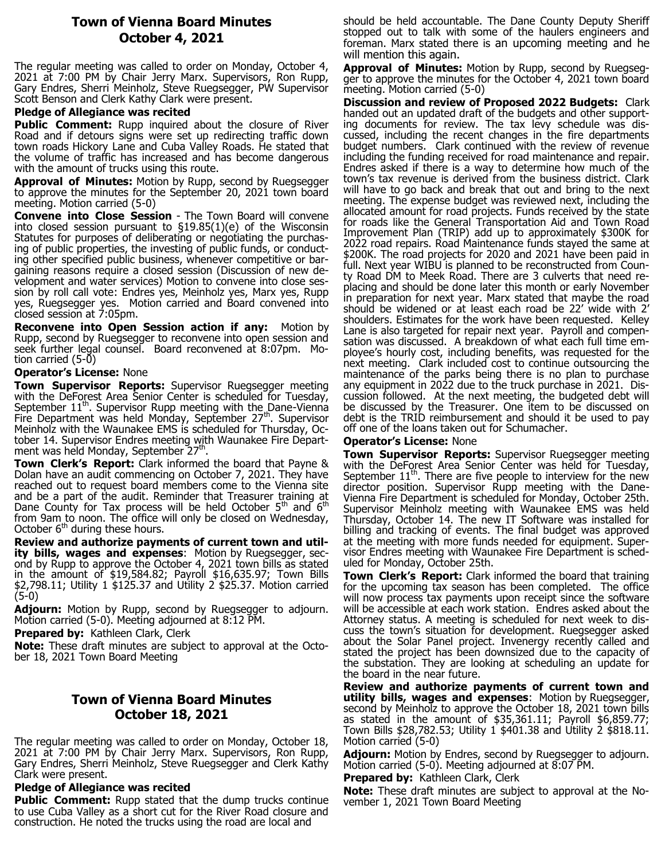### **Town of Vienna Board Minutes October 4, 2021**

The regular meeting was called to order on Monday, October 4, 2021 at 7:00 PM by Chair Jerry Marx. Supervisors, Ron Rupp, Gary Endres, Sherri Meinholz, Steve Ruegsegger, PW Supervisor Scott Benson and Clerk Kathy Clark were present.

#### **Pledge of Allegiance was recited**

**Public Comment:** Rupp inquired about the closure of River Road and if detours signs were set up redirecting traffic down town roads Hickory Lane and Cuba Valley Roads. He stated that the volume of traffic has increased and has become dangerous with the amount of trucks using this route.

**Approval of Minutes:** Motion by Rupp, second by Ruegsegger to approve the minutes for the September 20, 2021 town board meeting. Motion carried (5-0)

**Convene into Close Session** - The Town Board will convene into closed session pursuant to §19.85(1)(e) of the Wisconsin Statutes for purposes of deliberating or negotiating the purchasing of public properties, the investing of public funds, or conducting other specified public business, whenever competitive or bargaining reasons require a closed session (Discussion of new development and water services) Motion to convene into close session by roll call vote: Endres yes, Meinholz yes, Marx yes, Rupp yes, Ruegsegger yes. Motion carried and Board convened into closed session at 7:05pm.

**Reconvene into Open Session action if any:** Motion by Rupp, second by Ruegsegger to reconvene into open session and seek further legal counsel. Board reconvened at 8:07pm. Motion carried (5-0)

#### **Operator's License:** None

**Town Supervisor Reports:** Supervisor Ruegsegger meeting with the DeForest Area Senior Center is scheduled for Tuesday, September  $11<sup>th</sup>$ . Supervisor Rupp meeting with the Dane-Vienna Fire Department was held Monday, September  $27<sup>th</sup>$ . Supervisor Meinholz with the Waunakee EMS is scheduled for Thursday, October 14. Supervisor Endres meeting with Waunakee Fire Department was held Monday, September 27<sup>th</sup>.

**Town Clerk's Report:** Clark informed the board that Payne & Dolan have an audit commencing on October 7, 2021. They have reached out to request board members come to the Vienna site and be a part of the audit. Reminder that Treasurer training at Dane County for Tax process will be held October  $5<sup>th</sup>$  and  $6<sup>th</sup>$ from 9am to noon. The office will only be closed on Wednesday, October  $6<sup>th</sup>$  during these hours.

**Review and authorize payments of current town and utility bills, wages and expenses**: Motion by Ruegsegger, second by Rupp to approve the October 4, 2021 town bills as stated in the amount of \$19,584.82; Payroll \$16,635.97; Town Bills \$2,798.11; Utility 1 \$125.37 and Utility 2 \$25.37. Motion carried  $(5-0)$ 

**Adjourn:** Motion by Rupp, second by Ruegsegger to adjourn. Motion carried (5-0). Meeting adjourned at 8:12 PM.

**Prepared by: Kathleen Clark, Clerk** 

**Note:** These draft minutes are subject to approval at the October 18, 2021 Town Board Meeting

### **Town of Vienna Board Minutes October 18, 2021**

The regular meeting was called to order on Monday, October 18, 2021 at 7:00 PM by Chair Jerry Marx. Supervisors, Ron Rupp, Gary Endres, Sherri Meinholz, Steve Ruegsegger and Clerk Kathy Clark were present.

### **Pledge of Allegiance was recited**

**Public Comment:** Rupp stated that the dump trucks continue to use Cuba Valley as a short cut for the River Road closure and construction. He noted the trucks using the road are local and

should be held accountable. The Dane County Deputy Sheriff stopped out to talk with some of the haulers engineers and foreman. Marx stated there is an upcoming meeting and he will mention this again.

**Approval of Minutes:** Motion by Rupp, second by Ruegsegger to approve the minutes for the October 4, 2021 town board meeting. Motion carried (5-0)

**Discussion and review of Proposed 2022 Budgets:** Clark handed out an updated draft of the budgets and other supporting documents for review. The tax levy schedule was discussed, including the recent changes in the fire departments budget numbers. Clark continued with the review of revenue including the funding received for road maintenance and repair. Endres asked if there is a way to determine how much of the town's tax revenue is derived from the business district. Clark will have to go back and break that out and bring to the next meeting. The expense budget was reviewed next, including the allocated amount for road projects. Funds received by the state for roads like the General Transportation Aid and Town Road Improvement Plan (TRIP) add up to approximately \$300K for 2022 road repairs. Road Maintenance funds stayed the same at \$200K. The road projects for 2020 and 2021 have been paid in full. Next year WIBU is planned to be reconstructed from County Road DM to Meek Road. There are 3 culverts that need replacing and should be done later this month or early November in preparation for next year. Marx stated that maybe the road should be widened or at least each road be 22' wide with 2' shoulders. Estimates for the work have been requested. Kelley Lane is also targeted for repair next year. Payroll and compensation was discussed. A breakdown of what each full time employee's hourly cost, including benefits, was requested for the next meeting. Clark included cost to continue outsourcing the maintenance of the parks being there is no plan to purchase any equipment in 2022 due to the truck purchase in 2021. Discussion followed. At the next meeting, the budgeted debt will be discussed by the Treasurer. One item to be discussed on debt is the TRID reimbursement and should it be used to pay off one of the loans taken out for Schumacher.

### **Operator's License:** None

**Town Supervisor Reports:** Supervisor Ruegsegger meeting with the DeForest Area Senior Center was held for Tuesday, September  $11<sup>th</sup>$ . There are five people to interview for the new director position. Supervisor Rupp meeting with the Dane-Vienna Fire Department is scheduled for Monday, October 25th. Supervisor Meinholz meeting with Waunakee EMS was held Thursday, October 14. The new IT Software was installed for billing and tracking of events. The final budget was approved at the meeting with more funds needed for equipment. Supervisor Endres meeting with Waunakee Fire Department is scheduled for Monday, October 25th.

**Town Clerk's Report:** Clark informed the board that training for the upcoming tax season has been completed. The office will now process tax payments upon receipt since the software will be accessible at each work station. Endres asked about the Attorney status. A meeting is scheduled for next week to discuss the town's situation for development. Ruegsegger asked about the Solar Panel project. Invenergy recently called and stated the project has been downsized due to the capacity of the substation. They are looking at scheduling an update for the board in the near future.

**Review and authorize payments of current town and utility bills, wages and expenses**: Motion by Ruegsegger, second by Meinholz to approve the October 18, 2021 town bills as stated in the amount of \$35,361.11; Payroll \$6,859.77; Town Bills \$28,782.53; Utility 1 \$401.38 and Utility 2 \$818.11. Motion carried (5-0)

**Adjourn:** Motion by Endres, second by Ruegsegger to adjourn. Motion carried (5-0). Meeting adjourned at 8:07 PM.

**Prepared by: Kathleen Clark, Clerk** 

**Note:** These draft minutes are subject to approval at the November 1, 2021 Town Board Meeting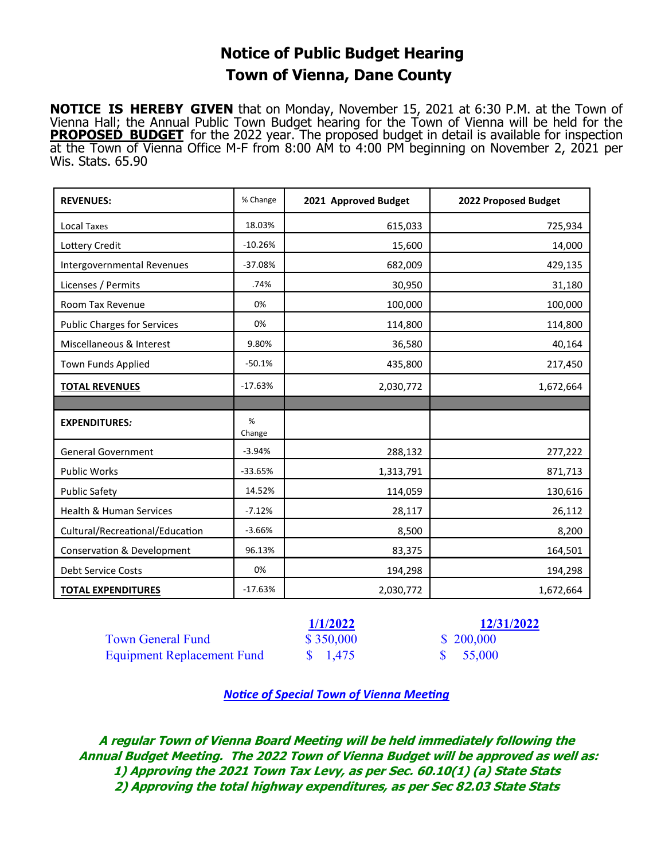### **Notice of Public Budget Hearing Town of Vienna, Dane County**

**NOTICE IS HEREBY GIVEN** that on Monday, November 15, 2021 at 6:30 P.M. at the Town of Vienna Hall; the Annual Public Town Budget hearing for the Town of Vienna will be held for the **PROPOSED BUDGET** for the 2022 year. The proposed budget in detail is available for inspection at the Town of Vienna Office M-F from 8:00 AM to 4:00 PM beginning on November 2, 2021 per Wis. Stats. 65.90

| <b>REVENUES:</b>                      | % Change    | 2021 Approved Budget | 2022 Proposed Budget |
|---------------------------------------|-------------|----------------------|----------------------|
| Local Taxes                           | 18.03%      | 615,033              | 725,934              |
| Lottery Credit                        | $-10.26%$   | 15,600               | 14,000               |
| Intergovernmental Revenues            | $-37.08%$   | 682,009              | 429,135              |
| Licenses / Permits                    | .74%        | 30,950               | 31,180               |
| Room Tax Revenue                      | 0%          | 100,000              | 100,000              |
| <b>Public Charges for Services</b>    | 0%          | 114,800              | 114,800              |
| Miscellaneous & Interest              | 9.80%       | 36,580               | 40,164               |
| <b>Town Funds Applied</b>             | $-50.1%$    | 435,800              | 217,450              |
| <b>TOTAL REVENUES</b>                 | $-17.63%$   | 2,030,772            | 1,672,664            |
|                                       |             |                      |                      |
| <b>EXPENDITURES:</b>                  | %<br>Change |                      |                      |
| <b>General Government</b>             | $-3.94%$    | 288,132              | 277,222              |
| <b>Public Works</b>                   | $-33.65%$   | 1,313,791            | 871,713              |
| <b>Public Safety</b>                  | 14.52%      | 114,059              | 130,616              |
| Health & Human Services               | $-7.12%$    | 28,117               | 26,112               |
| Cultural/Recreational/Education       | $-3.66%$    | 8,500                | 8,200                |
| <b>Conservation &amp; Development</b> | 96.13%      | 83,375               | 164,501              |
| Debt Service Costs                    | 0%          | 194,298              | 194,298              |
| <b>TOTAL EXPENDITURES</b>             | $-17.63%$   | 2,030,772            | 1,672,664            |

|                                   | <b>1/1/2022</b>    | <b>12/31/2022</b>   |
|-----------------------------------|--------------------|---------------------|
| <b>Town General Fund</b>          | \$350,000          | \$200,000           |
| <b>Equipment Replacement Fund</b> | $\frac{\$}{1,475}$ | $\frac{\$}{55,000}$ |

### *Notice of Special Town of Vienna Meeting*

**A regular Town of Vienna Board Meeting will be held immediately following the Annual Budget Meeting. The 2022 Town of Vienna Budget will be approved as well as: 1) Approving the 2021 Town Tax Levy, as per Sec. 60.10(1) (a) State Stats 2) Approving the total highway expenditures, as per Sec 82.03 State Stats**